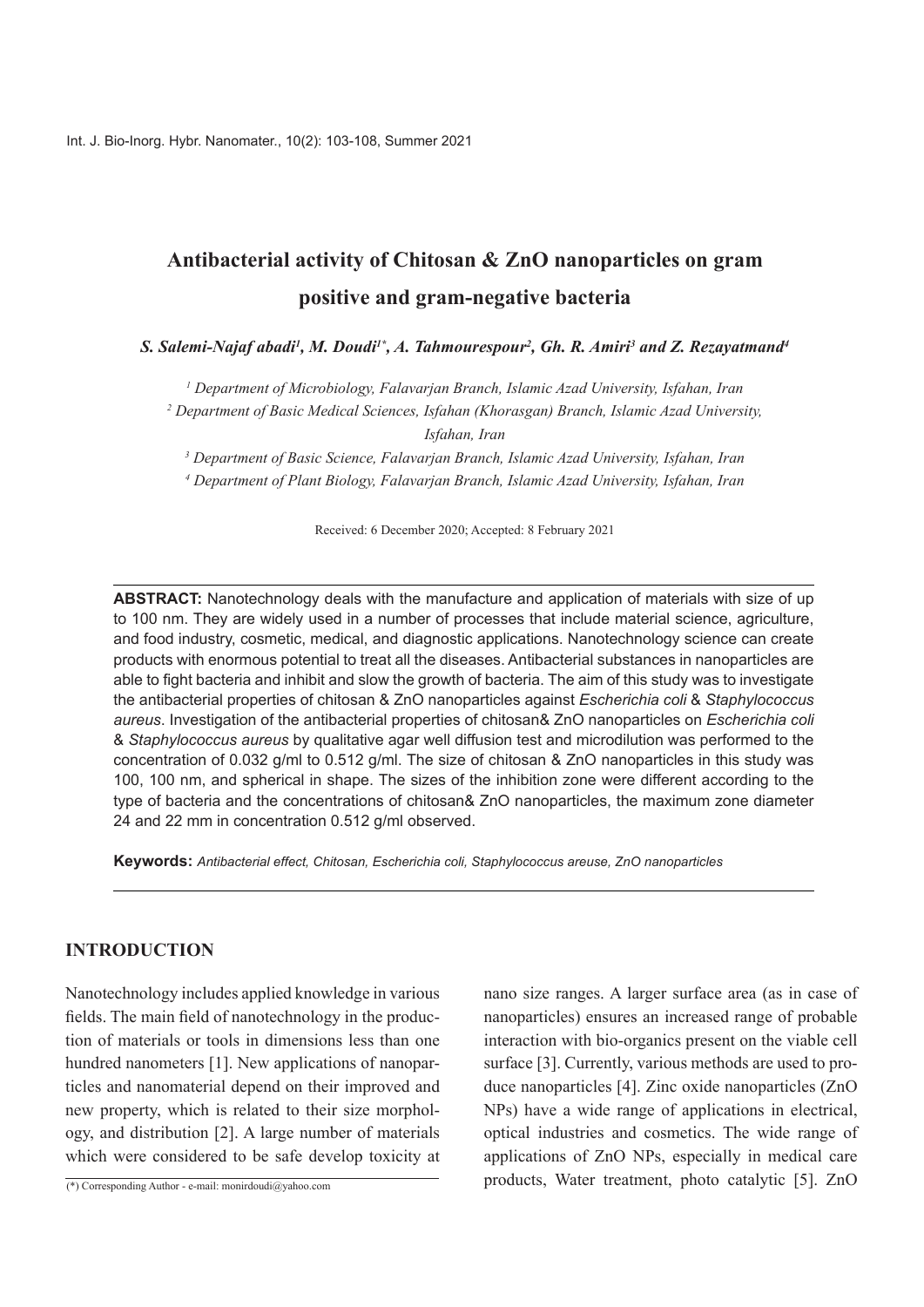# **Antibacterial activity of Chitosan & ZnO nanoparticles on gram** positive and gram-negative bacteria

S. Salemi-Najaf abadi<sup>1</sup>, M. Doudi<sup>1\*</sup>, A. Tahmourespour<sup>2</sup>, Gh. R. Amiri<sup>3</sup> and Z. Rezayatmand<sup>4</sup>

<sup>1</sup> Department of Microbiology, Falavarjan Branch, Islamic Azad University, Isfahan, Iran

<sup>2</sup> Department of Basic Medical Sciences, Isfahan (Khorasgan) Branch, Islamic Azad University, *Iran ,Isfahan*

<sup>3</sup> Department of Basic Science, Falavarjan Branch, Islamic Azad University, Isfahan, Iran

<sup>4</sup> Department of Plant Biology, Falavarjan Branch, Islamic Azad University, Isfahan, Iran

Received: 6 December 2020; Accepted: 8 February 2021

ABSTRACT: Nanotechnology deals with the manufacture and application of materials with size of up to 100 nm. They are widely used in a number of processes that include material science, agriculture, and food industry, cosmetic, medical, and diagnostic applications. Nanotechnology science can create products with enormous potential to treat all the diseases. Antibacterial substances in nanoparticles are able to fight bacteria and inhibit and slow the growth of bacteria. The aim of this study was to investigate *the antibacterial properties of chitosan & ZnO nanoparticles against <i>Escherichia coli & Staphylococcus* aureus. Investigation of the antibacterial properties of chitosan & ZnO nanoparticles on *Escherichia coli*  $\&$  Staphylococcus aureus by qualitative agar well diffusion test and microdilution was performed to the concentration of 0.032 g/ml to 0.512 g/ml. The size of chitosan & ZnO nanoparticles in this study was 100, 100 nm, and spherical in shape. The sizes of the inhibition zone were different according to the type of bacteria and the concentrations of chitosan & ZnO nanoparticles, the maximum zone diameter 24 and 22 mm in concentration 0.512 g/ml observed.

**Keywords:** Antibacterial effect, Chitosan, Escherichia coli, Staphylococcus areuse, ZnO nanoparticles

### **INTRODUCTION**

Nanotechnology includes applied knowledge in various tion of materials or tools in dimensions less than one fields. The main field of nanotechnology in the producticles and nanomaterial depend on their improved and hundred nanometers [1]. New applications of nanoparogy, and distribution [2]. A large number of materials new property, which is related to their size morpholwhich were considered to be safe develop toxicity at

(\*) Corresponding Author - e-mail: monirdoudi  $\partial_y$ yahoo.com

nano size ranges. A larger surface area (as in case of nanoparticles) ensures an increased range of probable interaction with bio-organics present on the viable cell duce nanoparticles  $[4]$ . Zinc oxide nanoparticles  $(ZnO)$ surface [3]. Currently, various methods are used to pro-NPs) have a wide range of applications in electrical, optical industries and cosmetics. The wide range of applications of ZnO NPs, especially in medical care products, Water treatment, photo catalytic [5]. ZnO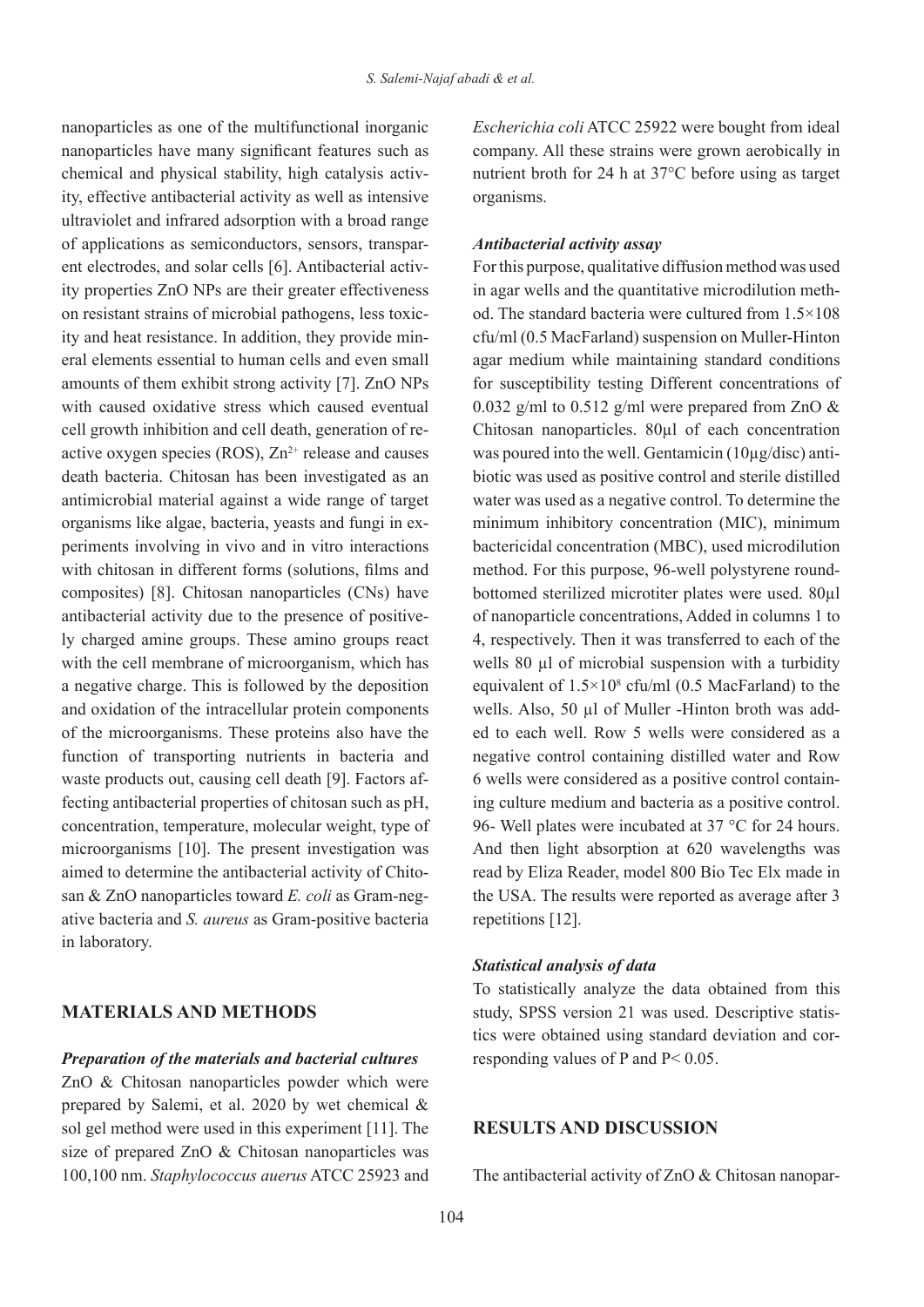nanoparticles as one of the multifunctional inorganic nanoparticles have many significant features such as ity, effective antibacterial activity as well as intensive chemical and physical stability, high catalysis activultraviolet and infrared adsorption with a broad range ity properties ZnO NPs are their greater effectiveness ent electrodes, and solar cells [6]. Antibacterial activof applications as semiconductors, sensors, transpareral elements essential to human cells and even small ity and heat resistance. In addition, they provide minon resistant strains of microbial pathogens, less toxicamounts of them exhibit strong activity [7]. ZnO NPs with caused oxidative stress which caused eventual active oxygen species (ROS),  $Zn^{2+}$  release and causes cell growth inhibition and cell death, generation of redeath bacteria. Chitosan has been investigated as an antimicrobial material against a wide range of target periments involving in vivo and in vitro interactions organisms like algae, bacteria, veasts and fungi in exwith chitosan in different forms (solutions, films and composites) [8]. Chitosan nanoparticles (CNs) have ly charged amine groups. These amino groups react antibacterial activity due to the presence of positivewith the cell membrane of microorganism, which has a negative charge. This is followed by the deposition and oxidation of the intracellular protein components of the microorganisms. These proteins also have the function of transporting nutrients in bacteria and fecting antibacterial properties of chitosan such as pH, waste products out, causing cell death [9]. Factors afconcentration, temperature, molecular weight, type of microorganisms [10]. The present investigation was ative bacteria and *S. aureus* as Gram-positive bacteria san & ZnO nanoparticles toward *E. coli* as Gram-negaimed to determine the antibacterial activity of Chitoin laboratory.

# **MATERIALS AND METHODS**

#### *Preparation of the materials and bacterial cultures*

 $ZnO & Chitosan nanoparticles powder which were$ prepared by Salemi, et al. 2020 by wet chemical  $\&$ sol gel method were used in this experiment [11]. The size of prepared ZnO & Chitosan nanoparticles was 100,100 nm. Staphylococcus auerus ATCC 25923 and Escherichia coli ATCC 25922 were bought from ideal company. All these strains were grown aerobically in nutrient broth for 24 h at  $37^{\circ}$ C before using as target .organisms

#### *assay activity Antibacterial*

For this purpose, qualitative diffusion method was used od. The standard bacteria were cultured from  $1.5 \times 108$ in agar wells and the quantitative microdilution meth $cfu/ml$  (0.5 MacFarland) suspension on Muller-Hinton agar medium while maintaining standard conditions for susceptibility testing Different concentrations of 0.032  $\varrho$ /ml to 0.512  $\varrho$ /ml were prepared from ZnO & Chitosan nanoparticles.  $80 \mu$ l of each concentration biotic was used as positive control and sterile distilled was poured into the well. Gentamicin  $(10\mu\text{g/disc})$  antiwater was used as a negative control. To determine the minimum inhibitory concentration (MIC), minimum bactericidal concentration (MBC), used microdilution bottomed sterilized microtiter plates were used. 80ul method. For this purpose, 96-well polystyrene roundof nanoparticle concentrations, Added in columns 1 to 4, respectively. Then it was transferred to each of the wells 80 ul of microbial suspension with a turbidity equivalent of  $1.5 \times 10^8$  cfu/ml (0.5 MacFarland) to the ed to each well. Row 5 wells were considered as a wells. Also, 50 ul of Muller - Hinton broth was addnegative control containing distilled water and Row ing culture medium and bacteria as a positive control. 6 wells were considered as a positive control contain-96- Well plates were incubated at  $37^{\circ}$ C for 24 hours. And then light absorption at 620 wavelengths was read by Eliza Reader, model 800 Bio Tec Elx made in the USA. The results were reported as average after 3 repetitions [12].

#### *diational analysis of data*

To statistically analyze the data obtained from this tics were obtained using standard deviation and corresponding values of P and  $P < 0.05$ . study, SPSS version 21 was used. Descriptive statis-<br>tics were obtained using standard deviation and corstudy, SPSS version 21 was used. Descriptive statis-

#### **RESULTS AND DISCUSSION**

The antibacterial activity of ZnO & Chitosan nanopar-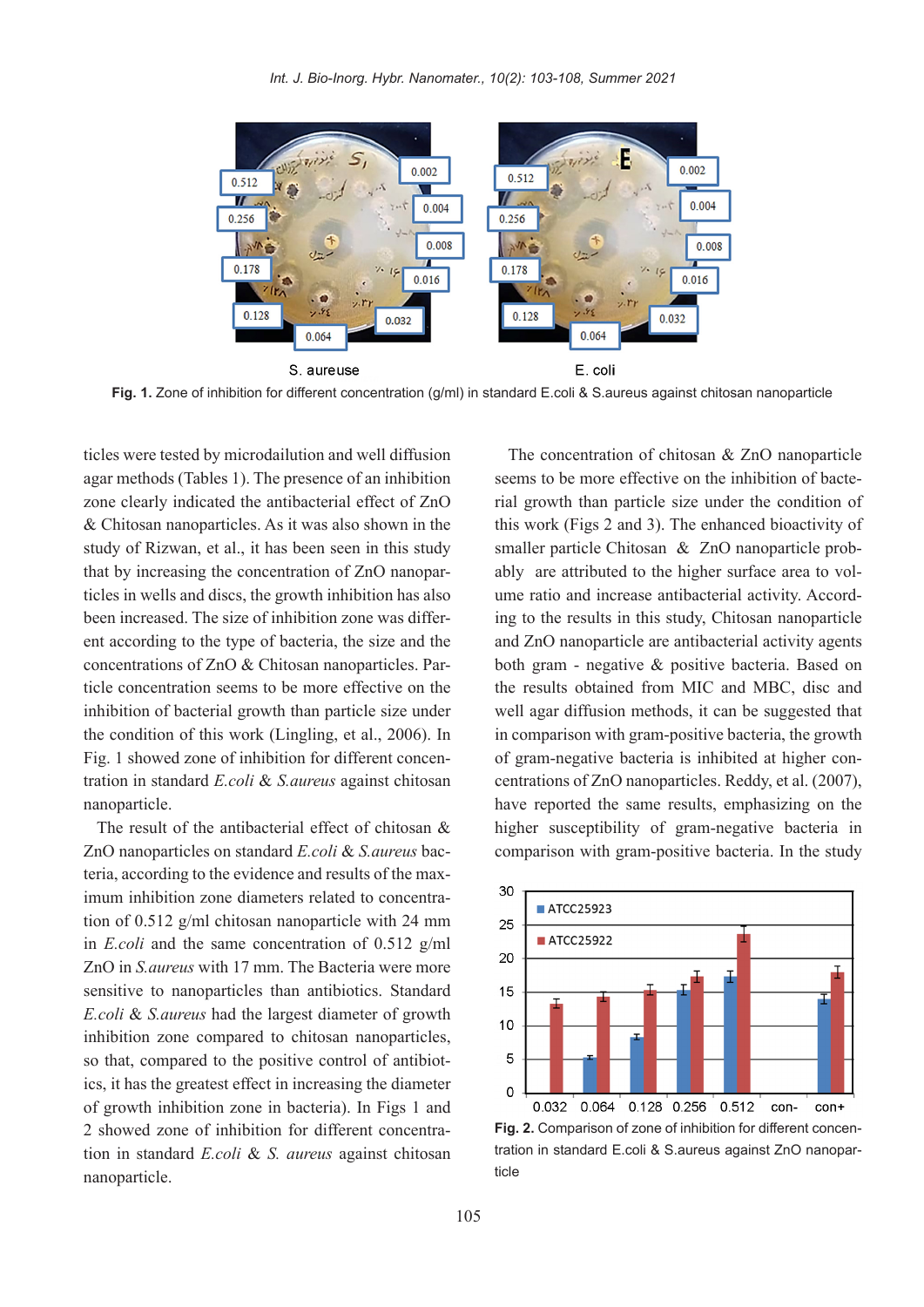

Fig. 1. Zone of inhibition for different concentration (g/ml) in standard E.coli & S.aureus against chitosan nanoparticle

ticles were tested by microdailution and well diffusion agar methods (Tables 1). The presence of an inhibition zone clearly indicated the antibacterial effect of ZnO  $& Chitosan nanoparticles. As it was also shown in the$ study of Rizwan, et al., it has been seen in this study ticles in wells and discs, the growth inhibition has also that by increasing the concentration of ZnO nanoparent according to the type of bacteria, the size and the been increased. The size of inhibition zone was differticle concentration seems to be more effective on the concentrations of ZnO & Chitosan nanoparticles. Parinhibition of bacterial growth than particle size under the condition of this work (Lingling, et al.,  $2006$ ). In tration in standard *E.coli & S. aureus* against chitosan Fig. 1 showed zone of inhibition for different concennanoparticle.

The result of the antibacterial effect of chitosan  $\&$ imum inhibition zone diameters related to concentra-<br>tion of  $0.512$  g/ml chitosan nanoparticle with 24 mm teria, according to the evidence and results of the maximum inhibition zone diameters related to concentra-ZnO nanoparticles on standard  $E_{\text{.}}$  coli &  $S_{\text{.}}$  caureus bacteria, according to the evidence and results of the max-ZnO nanoparticles on standard *E.coli & S. aureus* bacin *E.coli* and the same concentration of 0.512  $g/ml$ ZnO in *S. aureus* with 17 mm. The Bacteria were more. sensitive to nanoparticles than antibiotics. Standard E.coli & *S. aureus* had the largest diameter of growth inhibition zone compared to chitosan nanoparticles, so that, compared to the positive control of antibiotics, it has the greatest effect in increasing the diameter of growth inhibition zone in bacteria). In Figs 1 and tion in standard *E.coli & S. aureus* against chitosan 2 showed zone of inhibition for different concentrananoparticle.

The concentration of chitosan  $& ZnO$  nanoparticle rial growth than particle size under the condition of seems to be more effective on the inhibition of bactethis work (Figs  $2$  and  $3$ ). The enhanced bioactivity of ing to the results in this study, Chitosan nanoparticle ume ratio and increase antibacterial activity. Accordably are attributed to the higher surface area to volsmaller particle Chitosan  $\&$  ZnO nanoparticle proband ZnO nanoparticle are antibacterial activity agents both gram - negative  $\&$  positive bacteria. Based on the results obtained from MIC and MBC, disc and well agar diffusion methods, it can be suggested that in comparison with gram-positive bacteria, the growth centrations of ZnO nanoparticles. Reddy, et al. (2007), of gram-negative bacteria is inhibited at higher conhave reported the same results, emphasizing on the higher susceptibility of gram-negative bacteria in comparison with gram-positive bacteria. In the study



tration in standard E.coli & S.aureus against ZnO nanopar-<br>ticle **Fig. 2.** Comparison of zone of inhibition for different concen-<br>tration in standard E.coli & S.aureus against ZnO nanopar-Fig. 2. Comparison of zone of inhibition for different concen-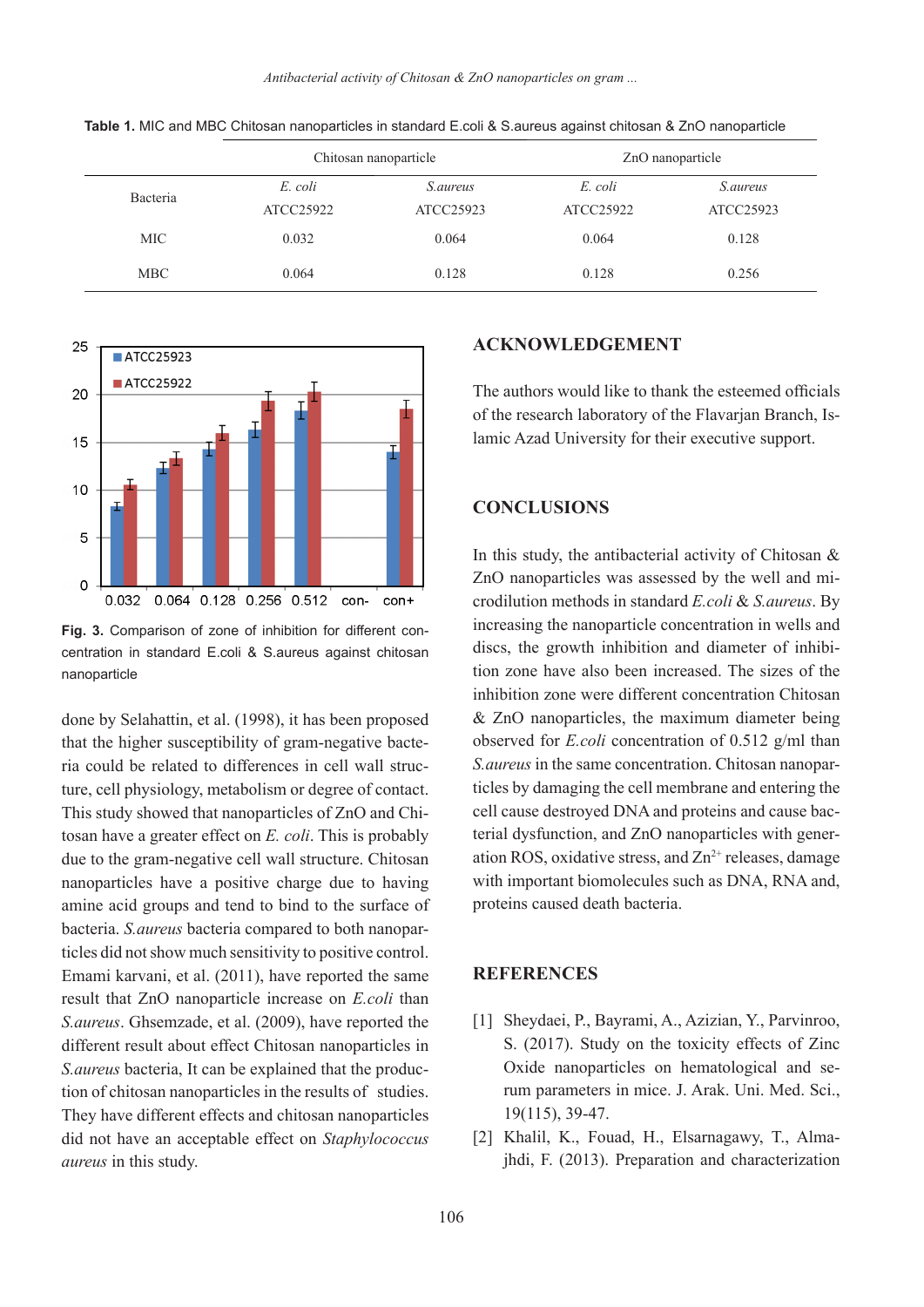*Antibacterial activity of Chitosan & ZnO nanoparticles on gram ...* 

|            | Chitosan nanoparticle |                 | ZnO nanoparticle |                 |
|------------|-----------------------|-----------------|------------------|-----------------|
| Bacteria   | E. coli               | <i>S.aureus</i> | E. coli          | <i>S.aureus</i> |
|            | ATCC25922             | ATCC25923       | ATCC25922        | ATCC25923       |
| <b>MIC</b> | 0.032                 | 0.064           | 0.064            | 0.128           |
| <b>MBC</b> | 0.064                 | 0.128           | 0.128            | 0.256           |

Table 1. MIC and MBC Chitosan nanoparticles in standard E.coli & S.aureus against chitosan & ZnO nanoparticle



centration in standard E.coli & S.aureus against chitosan Fig. 3. Comparison of zone of inhibition for different connanoparticle

done by Selahattin, et al. (1998), it has been proposed ture, cell physiology, metabolism or degree of contact. ria could be related to differences in cell wall structhat the higher susceptibility of gram-negative bactetosan have a greater effect on E. coli. This is probably This study showed that nanoparticles of ZnO and Chidue to the gram-negative cell wall structure. Chitosan having that have a positive charge due to having amine acid groups and tend to bind to the surface of ticles did not show much sensitivity to positive control. bacteria. S. *aureus* bacteria compared to both nanopar-Emami karvani, et al. (2011), have reported the same result that ZnO nanoparticle increase on *E.coli* than S. aureus. Ghsemzade, et al. (2009), have reported the different result about effect Chitosan nanoparticles in tion of chitosan nanoparticles in the results of studies. *S. aureus* bacteria. It can be explained that the produc-They have different effects and chitosan nanoparticles did not have an acceptable effect on *Staphylococcus*  $aureus$  in this study.

#### **ACKNOWLEDGEMENT**

The authors would like to thank the esteemed officials lamic Azad University for their executive support. of the research laboratory of the Flavarian Branch. Is-

# **CONCLUSIONS**

In this study, the antibacterial activity of Chitosan  $\&$ crodilution methods in standard *E.coli & S. aureus*. By ZnO nanoparticles was assessed by the well and miincreasing the nanoparticle concentration in wells and tion zone have also been increased. The sizes of the discs, the growth inhibition and diameter of inhibiinhibition zone were different concentration Chitosan  $&$  ZnO nanoparticles, the maximum diameter being observed for *E.coli* concentration of 0.512  $\varrho$ /ml than ticles by damaging the cell membrane and entering the S. *aureus* in the same concentration. Chitosan nanoparation ROS, oxidative stress, and  $Zn^{2+}$  releases, damage terial dysfunction, and ZnO nanoparticles with genercell cause destroyed DNA and proteins and cause bacwith important biomolecules such as DNA, RNA and, proteins caused death bacteria.

#### **REFERENCES**

- [1] Sheydaei, P., Bayrami, A., Azizian, Y., Parvinroo, S. (2017). Study on the toxicity effects of Zinc rum parameters in mice. J. Arak. Uni. Med. Sci., Oxide nanoparticles on hematological and se-19(115), 39-47.
- jhdi, F. (2013). Preparation and characterization [2] Khalil, K., Fouad, H., Elsarnagawy, T., Alma-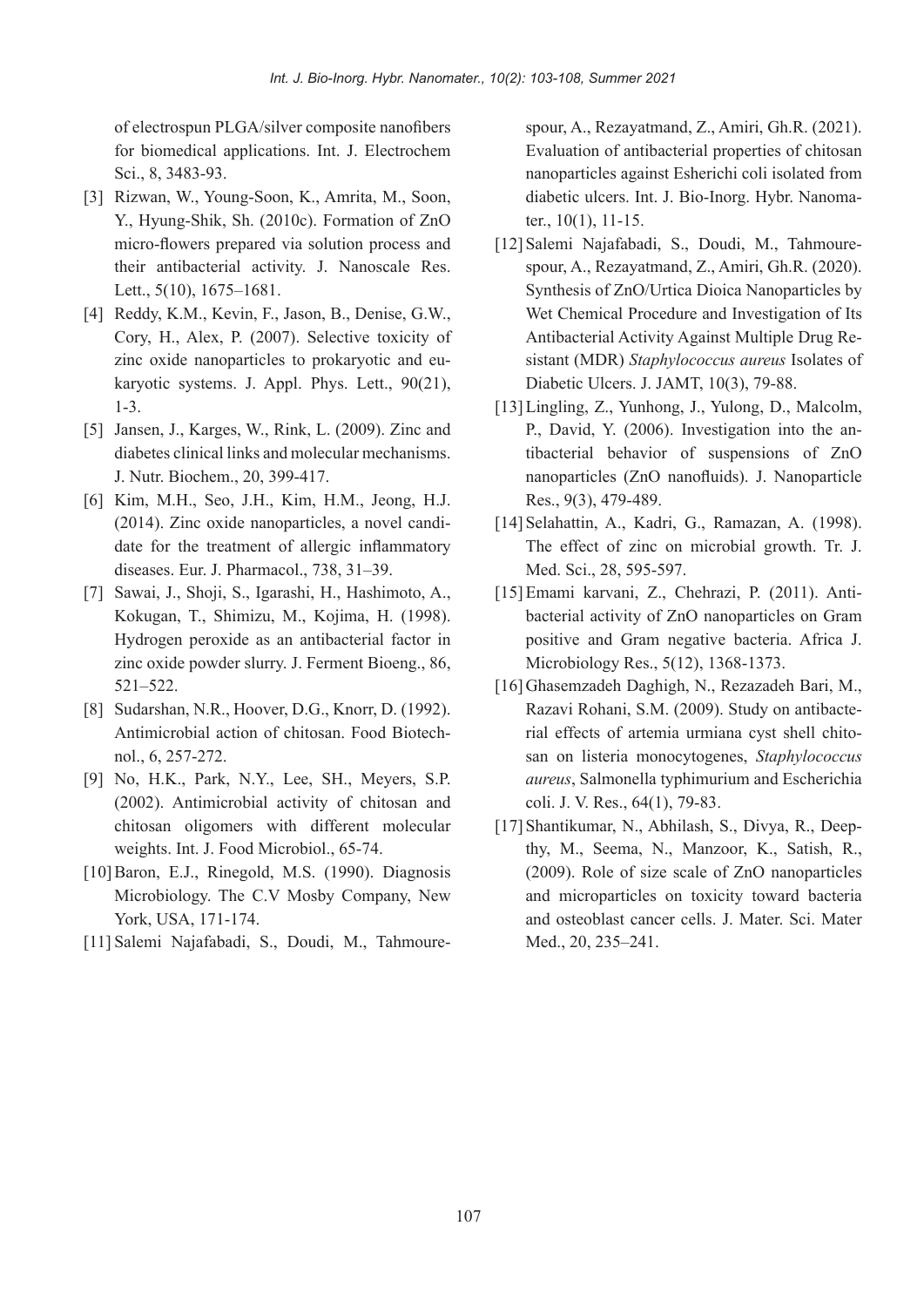of electrospun PLGA/silver composite nanofibers for biomedical applications. Int. J. Electrochem Sci., 8, 3483-93.

- [3] Rizwan, W., Young-Soon, K., Amrita, M., Soon, Y., Hyung-Shik, Sh. (2010c). Formation of ZnO micro-flowers prepared via solution process and their antibacterial activity. J. Nanoscale Res. Lett.,  $5(10)$ ,  $1675 - 1681$ .
- [4] Reddy, K.M., Kevin, F., Jason, B., Denise, G.W., Cory, H., Alex, P. (2007). Selective toxicity of karyotic systems. J. Appl. Phys. Lett.,  $90(21)$ , zinc oxide nanoparticles to prokaryotic and eu-1-3.
- [5] Jansen, J., Karges, W., Rink, L.  $(2009)$ . Zinc and diabetes clinical links and molecular mechanisms. J. Nutr. Biochem., 20, 399-417.
- [6] Kim, M.H., Seo, J.H., Kim, H.M., Jeong, H.J. date for the treatment of allergic inflammatory  $(2014)$ . Zinc oxide nanoparticles, a novel candidiseases. Eur. J. Pharmacol.,  $738, 31-39$ .
- ...Franki, J., Shoji, S., Igarashi, H., Hashimoto, A., Kokugan, T., Shimizu, M., Kojima, H. (1998). Hydrogen peroxide as an antibacterial factor in zinc oxide powder slurry. J. Ferment Bioeng., 86. 522.–521
- [8] Sudarshan, N.R., Hoover, D.G., Knorr, D.  $(1992)$ . Antimicrobial action of chitosan. Food Biotechnol., 6, 257-272.
- [9] No. H.K., Park, N.Y., Lee, SH., Meyers, S.P.  $(2002)$ . Antimicrobial activity of chitosan and chitosan oligomers with different molecular weights. Int. J. Food Microbiol .. 65-74.
- $[10]$ Baron, E.J., Rinegold, M.S.  $(1990)$ . Diagnosis Microbiology. The C.V Mosby Company, New York, USA, 171-174.
- [11] Salemi Najafabadi, S., Doudi, M., Tahmoure-

Evaluation of antibacterial properties of chitosan nanoparticles against Esherichi coli isolated from diabetic ulcers. Int. J. Bio-Inorg. Hybr. Nanoma-<br>ter., 10(1), 11-15.

- spour, A., Rezayatmand, Z., Amiri, Gh.R. (2021).<br>
Fraulation of intibateiral properties of chitosan<br>
anaoparticles against Esherichi coli isolated from<br>
diabetic ulcers. Int. J. Bio-Inorg. Hybr. Nanoma-<br>
tr., 10(1), 11-15. spour, A., Rezayatmand, Z., Amiri, Gh.R. (2020). [12] Salemi Najafabadi, S., Doudi, M., Tahmoure-Synthesis of ZnO/Urtica Dioica Nanoparticles by Wet Chemical Procedure and Investigation of Its sistant (MDR) Staphylococcus aureus Isolates of Antibacterial Activity Against Multiple Drug Re-Diabetic Ulcers. J. JAMT, 10(3), 79-88.
	- $[13]$ Lingling, Z., Yunhong, J., Yulong, D., Malcolm, tibacterial behavior of suspensions of ZnO P., David, Y. (2006). Investigation into the annanoparticles (ZnO nanofluids). J. Nanoparticle Res., 9(3), 479-489.
	- [14] Selahattin, A., Kadri, G., Ramazan, A. (1998). The effect of zinc on microbial growth. Tr. J. Med. Sci., 28, 595-597.
	- bacterial activity of ZnO nanoparticles on Gram [15] Emami karvani, Z., Chehrazi, P. (2011), Antipositive and Gram negative bacteria. Africa J. Microbiology Res., 5(12), 1368-1373.
	- [16] Ghasemzadeh Daghigh, N., Rezazadeh Bari, M., san on listeria monocytogenes, Staphylococcus rial effects of artemia urmiana cyst shell chito-Razavi Rohani, S.M. (2009). Study on antibacteaureus, Salmonella typhimurium and Escherichia coli. J. V. Res., 64(1), 79-83.
	- thy, M., Seema, N., Manzoor, K., Satish, R., [17] Shantikumar, N., Abhilash, S., Divya, R., Deep- $(2009)$ . Role of size scale of ZnO nanoparticles and microparticles on toxicity toward bacteria and osteoblast cancer cells. J. Mater. Sci. Mater Med., 20, 235-241.